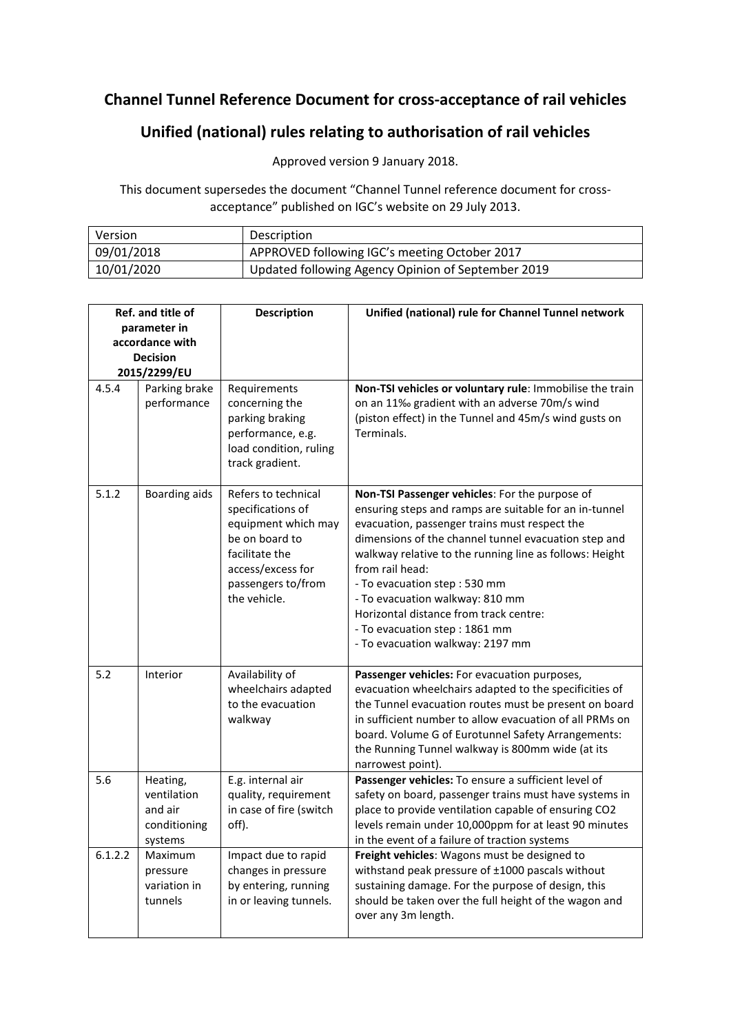## **Channel Tunnel Reference Document for cross-acceptance of rail vehicles**

## **Unified (national) rules relating to authorisation of rail vehicles**

Approved version 9 January 2018.

This document supersedes the document "Channel Tunnel reference document for crossacceptance" published on IGC's website on 29 July 2013.

| Version    | Description                                        |  |
|------------|----------------------------------------------------|--|
| 09/01/2018 | APPROVED following IGC's meeting October 2017      |  |
| 10/01/2020 | Updated following Agency Opinion of September 2019 |  |

| Ref. and title of<br>parameter in |                                                               | <b>Description</b>                                                                                                                                             | Unified (national) rule for Channel Tunnel network                                                                                                                                                                                                                                                                                                                                                                                                                                |  |
|-----------------------------------|---------------------------------------------------------------|----------------------------------------------------------------------------------------------------------------------------------------------------------------|-----------------------------------------------------------------------------------------------------------------------------------------------------------------------------------------------------------------------------------------------------------------------------------------------------------------------------------------------------------------------------------------------------------------------------------------------------------------------------------|--|
|                                   |                                                               |                                                                                                                                                                |                                                                                                                                                                                                                                                                                                                                                                                                                                                                                   |  |
|                                   | accordance with                                               |                                                                                                                                                                |                                                                                                                                                                                                                                                                                                                                                                                                                                                                                   |  |
| <b>Decision</b>                   |                                                               |                                                                                                                                                                |                                                                                                                                                                                                                                                                                                                                                                                                                                                                                   |  |
|                                   | 2015/2299/EU                                                  |                                                                                                                                                                |                                                                                                                                                                                                                                                                                                                                                                                                                                                                                   |  |
| 4.5.4                             | Parking brake<br>performance                                  | Requirements<br>concerning the<br>parking braking<br>performance, e.g.<br>load condition, ruling<br>track gradient.                                            | Non-TSI vehicles or voluntary rule: Immobilise the train<br>on an 11‰ gradient with an adverse 70m/s wind<br>(piston effect) in the Tunnel and 45m/s wind gusts on<br>Terminals.                                                                                                                                                                                                                                                                                                  |  |
| 5.1.2                             | Boarding aids                                                 | Refers to technical<br>specifications of<br>equipment which may<br>be on board to<br>facilitate the<br>access/excess for<br>passengers to/from<br>the vehicle. | Non-TSI Passenger vehicles: For the purpose of<br>ensuring steps and ramps are suitable for an in-tunnel<br>evacuation, passenger trains must respect the<br>dimensions of the channel tunnel evacuation step and<br>walkway relative to the running line as follows: Height<br>from rail head:<br>- To evacuation step: 530 mm<br>- To evacuation walkway: 810 mm<br>Horizontal distance from track centre:<br>- To evacuation step: 1861 mm<br>- To evacuation walkway: 2197 mm |  |
| 5.2                               | Interior                                                      | Availability of<br>wheelchairs adapted<br>to the evacuation<br>walkway                                                                                         | Passenger vehicles: For evacuation purposes,<br>evacuation wheelchairs adapted to the specificities of<br>the Tunnel evacuation routes must be present on board<br>in sufficient number to allow evacuation of all PRMs on<br>board. Volume G of Eurotunnel Safety Arrangements:<br>the Running Tunnel walkway is 800mm wide (at its<br>narrowest point).                                                                                                                         |  |
| 5.6                               | Heating,<br>ventilation<br>and air<br>conditioning<br>systems | E.g. internal air<br>quality, requirement<br>in case of fire (switch<br>off).                                                                                  | Passenger vehicles: To ensure a sufficient level of<br>safety on board, passenger trains must have systems in<br>place to provide ventilation capable of ensuring CO2<br>levels remain under 10,000ppm for at least 90 minutes<br>in the event of a failure of traction systems                                                                                                                                                                                                   |  |
| 6.1.2.2                           | Maximum<br>pressure<br>variation in<br>tunnels                | Impact due to rapid<br>changes in pressure<br>by entering, running<br>in or leaving tunnels.                                                                   | Freight vehicles: Wagons must be designed to<br>withstand peak pressure of ±1000 pascals without<br>sustaining damage. For the purpose of design, this<br>should be taken over the full height of the wagon and<br>over any 3m length.                                                                                                                                                                                                                                            |  |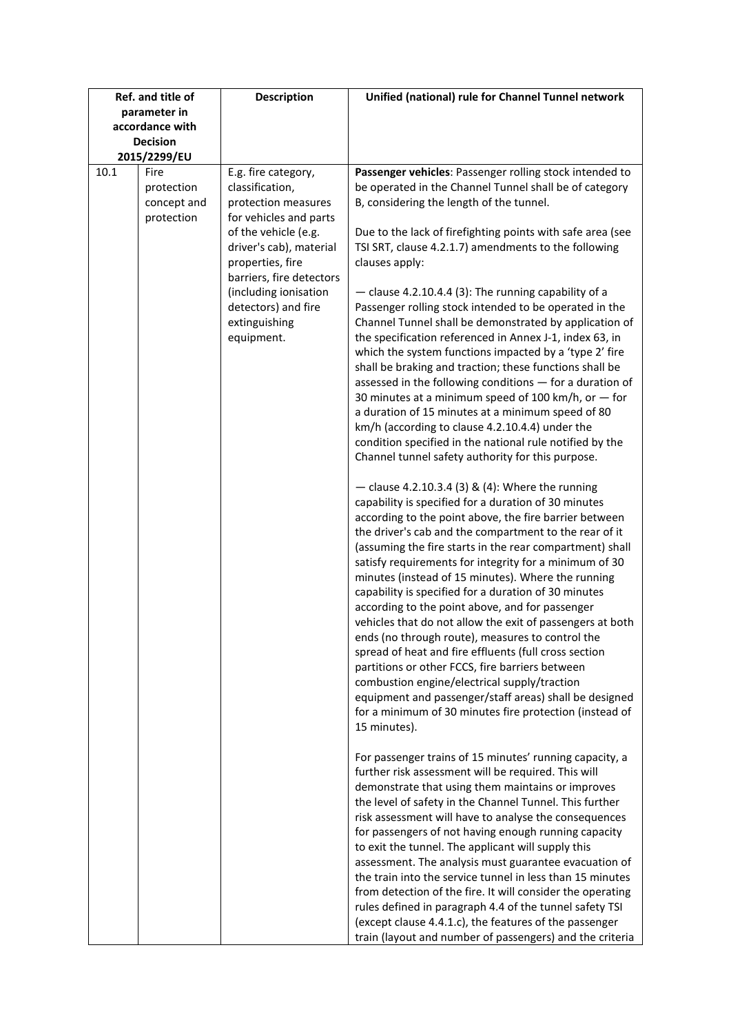| Ref. and title of         | <b>Description</b>                                                                                                                                                                                       | Unified (national) rule for Channel Tunnel network                                                                                                                                                                                                                                                                                                                                                                                                                                                                                                                                                                                                                                                                                                                                                                                                                                                                                    |
|---------------------------|----------------------------------------------------------------------------------------------------------------------------------------------------------------------------------------------------------|---------------------------------------------------------------------------------------------------------------------------------------------------------------------------------------------------------------------------------------------------------------------------------------------------------------------------------------------------------------------------------------------------------------------------------------------------------------------------------------------------------------------------------------------------------------------------------------------------------------------------------------------------------------------------------------------------------------------------------------------------------------------------------------------------------------------------------------------------------------------------------------------------------------------------------------|
| parameter in              |                                                                                                                                                                                                          |                                                                                                                                                                                                                                                                                                                                                                                                                                                                                                                                                                                                                                                                                                                                                                                                                                                                                                                                       |
| accordance with           |                                                                                                                                                                                                          |                                                                                                                                                                                                                                                                                                                                                                                                                                                                                                                                                                                                                                                                                                                                                                                                                                                                                                                                       |
| <b>Decision</b>           |                                                                                                                                                                                                          |                                                                                                                                                                                                                                                                                                                                                                                                                                                                                                                                                                                                                                                                                                                                                                                                                                                                                                                                       |
| 2015/2299/EU              |                                                                                                                                                                                                          |                                                                                                                                                                                                                                                                                                                                                                                                                                                                                                                                                                                                                                                                                                                                                                                                                                                                                                                                       |
| 10.1<br>Fire              | E.g. fire category,                                                                                                                                                                                      | Passenger vehicles: Passenger rolling stock intended to                                                                                                                                                                                                                                                                                                                                                                                                                                                                                                                                                                                                                                                                                                                                                                                                                                                                               |
| protection<br>concept and | classification,<br>protection measures                                                                                                                                                                   | be operated in the Channel Tunnel shall be of category<br>B, considering the length of the tunnel.                                                                                                                                                                                                                                                                                                                                                                                                                                                                                                                                                                                                                                                                                                                                                                                                                                    |
| protection                | for vehicles and parts<br>of the vehicle (e.g.<br>driver's cab), material<br>properties, fire<br>barriers, fire detectors<br>(including ionisation<br>detectors) and fire<br>extinguishing<br>equipment. | Due to the lack of firefighting points with safe area (see<br>TSI SRT, clause 4.2.1.7) amendments to the following<br>clauses apply:                                                                                                                                                                                                                                                                                                                                                                                                                                                                                                                                                                                                                                                                                                                                                                                                  |
|                           |                                                                                                                                                                                                          | - clause 4.2.10.4.4 (3): The running capability of a<br>Passenger rolling stock intended to be operated in the<br>Channel Tunnel shall be demonstrated by application of<br>the specification referenced in Annex J-1, index 63, in<br>which the system functions impacted by a 'type 2' fire<br>shall be braking and traction; these functions shall be<br>assessed in the following conditions - for a duration of<br>30 minutes at a minimum speed of 100 km/h, or $-$ for<br>a duration of 15 minutes at a minimum speed of 80<br>km/h (according to clause 4.2.10.4.4) under the<br>condition specified in the national rule notified by the<br>Channel tunnel safety authority for this purpose.                                                                                                                                                                                                                                |
|                           |                                                                                                                                                                                                          | - clause 4.2.10.3.4 (3) & (4): Where the running<br>capability is specified for a duration of 30 minutes<br>according to the point above, the fire barrier between<br>the driver's cab and the compartment to the rear of it<br>(assuming the fire starts in the rear compartment) shall<br>satisfy requirements for integrity for a minimum of 30<br>minutes (instead of 15 minutes). Where the running<br>capability is specified for a duration of 30 minutes<br>according to the point above, and for passenger<br>vehicles that do not allow the exit of passengers at both<br>ends (no through route), measures to control the<br>spread of heat and fire effluents (full cross section<br>partitions or other FCCS, fire barriers between<br>combustion engine/electrical supply/traction<br>equipment and passenger/staff areas) shall be designed<br>for a minimum of 30 minutes fire protection (instead of<br>15 minutes). |
|                           |                                                                                                                                                                                                          | For passenger trains of 15 minutes' running capacity, a<br>further risk assessment will be required. This will<br>demonstrate that using them maintains or improves<br>the level of safety in the Channel Tunnel. This further<br>risk assessment will have to analyse the consequences<br>for passengers of not having enough running capacity<br>to exit the tunnel. The applicant will supply this<br>assessment. The analysis must guarantee evacuation of<br>the train into the service tunnel in less than 15 minutes<br>from detection of the fire. It will consider the operating<br>rules defined in paragraph 4.4 of the tunnel safety TSI<br>(except clause 4.4.1.c), the features of the passenger<br>train (layout and number of passengers) and the criteria                                                                                                                                                            |